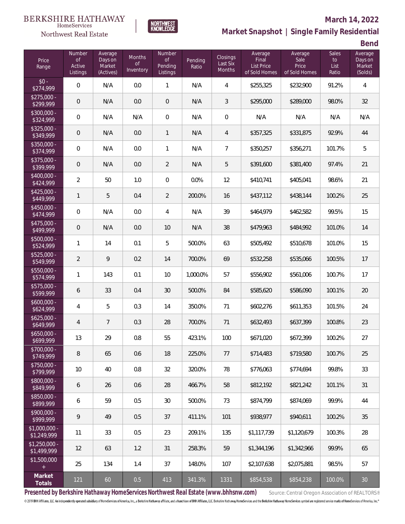# $\begin{matrix} \texttt{BERKSHIRE\ HATHAWAY}\footnotesize\texttt{Hom}\texttt{S} \texttt{e} \texttt{V} \texttt{R} \texttt{G} \texttt{P} \texttt{G} \texttt{P} \texttt{G} \texttt{P} \texttt{G} \texttt{P} \texttt{G} \texttt{P} \texttt{G} \texttt{P} \texttt{G} \texttt{P} \texttt{G} \texttt{P} \texttt{G} \texttt{P} \texttt{G} \texttt{P} \texttt{G} \texttt{P} \texttt{G} \texttt{P} \texttt{G} \texttt{P} \texttt{G} \texttt{P} \$



### **March 14, 2022**

**Market Snapshot | Single Family Residential**

**Bend**

| Price<br>Range                                  | Number<br><b>of</b><br>Active | Average<br>Days on<br>Market | Months<br><b>of</b> | Number<br>of<br>Pending | Pending<br>Ratio | Closings<br>Last Six | Average<br>Final<br><b>List Price</b> | Average<br>Sale<br>Price | <b>Sales</b><br>to<br>List | ---<br>Average<br>Days on<br>Market |
|-------------------------------------------------|-------------------------------|------------------------------|---------------------|-------------------------|------------------|----------------------|---------------------------------------|--------------------------|----------------------------|-------------------------------------|
|                                                 | Listings                      | (Actives)                    | Inventory           | Listings                |                  | Months               | of Sold Homes                         | of Sold Homes            | Ratio                      | (Solds)                             |
| $$0 -$<br>\$274,999                             | $\mathbf 0$                   | N/A                          | 0.0                 | $\mathbf{1}$            | N/A              | $\overline{4}$       | \$255,325                             | \$232,900                | 91.2%                      | $\overline{4}$                      |
| $$275,000 -$<br>\$299,999                       | $\mathbf 0$                   | N/A                          | 0.0                 | $\,0\,$                 | N/A              | $\mathfrak{Z}$       | \$295,000                             | \$289,000                | 98.0%                      | 32                                  |
| $$300,000 -$<br>\$324,999                       | $\mathbf 0$                   | N/A                          | N/A                 | $\mathbf 0$             | N/A              | $\mathbf 0$          | N/A                                   | N/A                      | N/A                        | N/A                                 |
| $$325,000 -$<br>\$349,999                       | $\mathbf 0$                   | N/A                          | 0.0                 | $\mathbf{1}$            | N/A              | $\overline{4}$       | \$357,325                             | \$331,875                | 92.9%                      | 44                                  |
| \$350,000 -<br>\$374,999                        | $\mathbf 0$                   | N/A                          | 0.0                 | $\mathbf{1}$            | N/A              | $\overline{7}$       | \$350,257                             | \$356,271                | 101.7%                     | 5                                   |
| \$375,000 -<br>\$399,999                        | $\mathbf 0$                   | N/A                          | 0.0                 | $\overline{2}$          | N/A              | $\mathbf 5$          | \$391,600                             | \$381,400                | 97.4%                      | 21                                  |
| \$400,000 -<br>\$424,999                        | $\overline{2}$                | 50                           | 1.0                 | $\mathbf 0$             | 0.0%             | 12                   | \$410,741                             | \$405,041                | 98.6%                      | 21                                  |
| $$425,000 -$<br>\$449,999                       | $\mathbf{1}$                  | 5                            | 0.4                 | $\overline{2}$          | 200.0%           | 16                   | \$437,112                             | \$438,144                | 100.2%                     | 25                                  |
| \$450,000 -<br>\$474,999                        | $\mathbf 0$                   | N/A                          | 0.0                 | 4                       | N/A              | 39                   | \$464,979                             | \$462,582                | 99.5%                      | 15                                  |
| \$475,000 -<br>\$499,999                        | $\mathbf 0$                   | N/A                          | 0.0                 | 10                      | N/A              | 38                   | \$479,963                             | \$484,992                | 101.0%                     | 14                                  |
| \$500,000 -<br>\$524,999                        | 1                             | 14                           | 0.1                 | 5                       | 500.0%           | 63                   | \$505,492                             | \$510,678                | 101.0%                     | 15                                  |
| \$525,000 -<br>\$549,999                        | $\overline{2}$                | 9                            | 0.2                 | 14                      | 700.0%           | 69                   | \$532,258                             | \$535,066                | 100.5%                     | 17                                  |
| \$550,000 -<br>\$574,999                        | 1                             | 143                          | 0.1                 | 10                      | 1,000.0%         | 57                   | \$556,902                             | \$561,006                | 100.7%                     | 17                                  |
| \$575,000 -<br>\$599,999                        | 6                             | 33                           | 0.4                 | 30                      | 500.0%           | 84                   | \$585,620                             | \$586,090                | 100.1%                     | 20                                  |
| $$600,000 -$<br>\$624,999                       | 4                             | 5                            | 0.3                 | 14                      | 350.0%           | 71                   | \$602,276                             | \$611,353                | 101.5%                     | 24                                  |
| $$625,000 -$<br>\$649,999                       | $\overline{4}$                | 7                            | 0.3                 | 28                      | 700.0%           | 71                   | \$632,493                             | \$637,399                | 100.8%                     | 23                                  |
| $$650,000 -$<br>\$699,999                       | 13                            | 29                           | 0.8                 | 55                      | 423.1%           | 100                  | \$671,020                             | \$672,399                | 100.2%                     | 27                                  |
| \$700,000 -<br>\$749,999                        | 8                             | 65                           | 0.6                 | 18                      | 225.0%           | 77                   | \$714.483                             | \$719,580                | 100.7%                     | 25                                  |
| $$750,000 -$<br>\$799,999                       | 10                            | 40                           | 0.8                 | 32                      | 320.0%           | 78                   | \$776,063                             | \$774,694                | 99.8%                      | 33                                  |
| \$800,000 -<br>\$849,999                        | 6                             | 26                           | 0.6                 | 28                      | 466.7%           | 58                   | \$812,192                             | \$821,242                | 101.1%                     | 31                                  |
| \$850,000 -<br>\$899,999                        | 6                             | 59                           | 0.5                 | 30                      | 500.0%           | 73                   | \$874.799                             | \$874.069                | 99.9%                      | 44                                  |
| $$900,000 -$<br>\$999,999                       | 9                             | 49                           | 0.5                 | 37                      | 411.1%           | 101                  | \$938,977                             | \$940,611                | 100.2%                     | 35                                  |
| $$1,000,000 -$<br>\$1,249,999                   | 11                            | 33                           | 0.5                 | 23                      | 209.1%           | 135                  | \$1,117,739                           | \$1,120,679              | 100.3%                     | 28                                  |
| $$1,250,000 -$<br>\$1,499,999                   | 12                            | 63                           | 1.2                 | 31                      | 258.3%           | 59                   | \$1,344,196                           | \$1,342,966              | 99.9%                      | 65                                  |
| \$1,500,000<br>$\begin{array}{c} + \end{array}$ | 25                            | 134                          | 1.4                 | 37                      | 148.0%           | 107                  | \$2,107,638                           | \$2,075,881              | 98.5%                      | 57                                  |
| Market<br>Totals                                | 121                           | 60                           | 0.5                 | 413                     | 341.3%           | 1331                 | \$854,538                             | \$854,238                | 100.0%                     | 30                                  |

NORTHWEST<br>KNOWLFDGF

Presented by Berkshire Hathaway HomeServices Northwest Real Estate (www.bhhsnw.com) source: Central Oregon Association of REALTORS®

© 2019 BHH Affiliates, LLC. An independently operated subsidiary of HomeServices of America, Inc., a Berkshire Hathaway affiliate, and a franchisee of BHH Affiliates, LLC. Berkshire Hathaway HomeServices and the Berkshire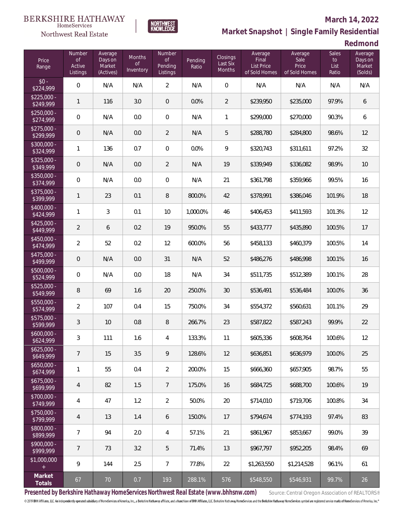# $\begin{matrix} \texttt{BERKSHIRE\ HATHAWAY}\footnotesize\texttt{Hom}\texttt{S} \texttt{e} \texttt{V} \texttt{R} \texttt{G} \texttt{P} \texttt{G} \texttt{P} \texttt{G} \texttt{P} \texttt{G} \texttt{P} \texttt{G} \texttt{P} \texttt{G} \texttt{P} \texttt{G} \texttt{P} \texttt{G} \texttt{P} \texttt{G} \texttt{P} \texttt{G} \texttt{P} \texttt{G} \texttt{P} \texttt{G} \texttt{P} \texttt{G} \texttt{P} \texttt{G} \texttt{P} \$

Northwest Real Estate

#### **March 14, 2022**

**Market Snapshot | Single Family Residential**

**Redmond**

| Price<br>Range                       | <b>Number</b><br><b>of</b><br>Active<br>Listings | Average<br>Days on<br>Market<br>(Actives) | <b>Months</b><br><b>of</b><br>Inventory | Number<br>of<br>Pending<br>Listings | Pending<br>Ratio | Closings<br>Last Six<br>Months | Average<br>Final<br><b>List Price</b><br>of Sold Homes | Average<br>Sale<br>Price<br>of Sold Homes | <b>Sales</b><br>to<br>List<br>Ratio | Average<br>Days on<br>Market<br>(Solds) |
|--------------------------------------|--------------------------------------------------|-------------------------------------------|-----------------------------------------|-------------------------------------|------------------|--------------------------------|--------------------------------------------------------|-------------------------------------------|-------------------------------------|-----------------------------------------|
| $$0 -$<br>\$224,999                  | $\overline{0}$                                   | N/A                                       | N/A                                     | $\overline{2}$                      | N/A              | $\overline{0}$                 | N/A                                                    | N/A                                       | N/A                                 | N/A                                     |
| $$225,000 -$<br>\$249,999            | $\mathbf{1}$                                     | 116                                       | 3.0                                     | 0                                   | 0.0%             | 2                              | \$239,950                                              | \$235,000                                 | 97.9%                               | 6                                       |
| $$250,000 -$<br>\$274,999            | $\mathbf 0$                                      | N/A                                       | 0.0                                     | $\mathbf 0$                         | N/A              | $\mathbf{1}$                   | \$299,000                                              | \$270,000                                 | 90.3%                               | 6                                       |
| $$275,000 -$<br>\$299,999            | $\mathbf 0$                                      | N/A                                       | 0.0                                     | $\overline{2}$                      | N/A              | 5                              | \$288,780                                              | \$284,800                                 | 98.6%                               | 12                                      |
| $$300,000 -$<br>\$324,999            | $\mathbf{1}$                                     | 136                                       | 0.7                                     | $\boldsymbol{0}$                    | 0.0%             | 9                              | \$320,743                                              | \$311,611                                 | 97.2%                               | 32                                      |
| $$325,000 -$<br>\$349,999            | $\mathbf 0$                                      | N/A                                       | 0.0                                     | $\overline{2}$                      | N/A              | 19                             | \$339,949                                              | \$336,082                                 | 98.9%                               | 10                                      |
| $$350,000 -$<br>\$374,999            | $\overline{0}$                                   | N/A                                       | 0.0                                     | $\overline{0}$                      | N/A              | 21                             | \$361,798                                              | \$359,966                                 | 99.5%                               | 16                                      |
| $$375,000 -$<br>\$399,999            | $\mathbf{1}$                                     | 23                                        | 0.1                                     | 8                                   | 800.0%           | 42                             | \$378,991                                              | \$386,046                                 | 101.9%                              | 18                                      |
| $$400,000 -$<br>\$424,999            | $\mathbf{1}$                                     | 3                                         | 0.1                                     | 10                                  | 1,000.0%         | 46                             | \$406,453                                              | \$411,593                                 | 101.3%                              | 12                                      |
| $$425,000 -$<br>\$449,999            | $\overline{2}$                                   | 6                                         | 0.2                                     | 19                                  | 950.0%           | 55                             | \$433,777                                              | \$435,890                                 | 100.5%                              | 17                                      |
| $$450,000 -$<br>\$474,999            | $\overline{2}$                                   | 52                                        | 0.2                                     | 12                                  | 600.0%           | 56                             | \$458,133                                              | \$460,379                                 | 100.5%                              | 14                                      |
| $$475,000 -$<br>\$499,999            | $\mathbf 0$                                      | N/A                                       | 0.0                                     | 31                                  | N/A              | 52                             | \$486,276                                              | \$486,998                                 | 100.1%                              | 16                                      |
| $$500,000 -$<br>\$524,999            | $\overline{0}$                                   | N/A                                       | 0.0                                     | 18                                  | N/A              | 34                             | \$511,735                                              | \$512,389                                 | 100.1%                              | 28                                      |
| $$525,000 -$<br>\$549,999            | $\, 8$                                           | 69                                        | 1.6                                     | 20                                  | 250.0%           | 30                             | \$536,491                                              | \$536,484                                 | 100.0%                              | 36                                      |
| \$550,000 -<br>\$574,999             | $\overline{2}$                                   | 107                                       | 0.4                                     | 15                                  | 750.0%           | 34                             | \$554,372                                              | \$560,631                                 | 101.1%                              | 29                                      |
| $\overline{$575,000}$ -<br>\$599,999 | $\mathfrak{Z}$                                   | 10                                        | 0.8                                     | 8                                   | 266.7%           | 23                             | \$587,822                                              | \$587,243                                 | 99.9%                               | 22                                      |
| $$600,000 -$<br>\$624,999            | 3                                                | 111                                       | 1.6                                     | $\overline{4}$                      | 133.3%           | 11                             | \$605,336                                              | \$608,764                                 | 100.6%                              | 12                                      |
| $$625,000 -$<br>\$649,999            | $\overline{7}$                                   | 15                                        | 3.5                                     | 9                                   | 128.6%           | 12                             | \$636,851                                              | \$636,979                                 | 100.0%                              | 25                                      |
| $$650,000 -$<br>\$674,999            | $\mathbf{1}$                                     | 55                                        | 0.4                                     | $\overline{2}$                      | 200.0%           | 15                             | \$666,360                                              | \$657,905                                 | 98.7%                               | 55                                      |
| $$675,000 -$<br>\$699,999            | $\overline{4}$                                   | 82                                        | 1.5                                     | $\overline{7}$                      | 175.0%           | 16                             | \$684,725                                              | \$688,700                                 | 100.6%                              | 19                                      |
| \$700,000 -<br>\$749,999             | $\overline{4}$                                   | 47                                        | 1.2                                     | $\overline{2}$                      | 50.0%            | 20                             | \$714,010                                              | \$719,706                                 | 100.8%                              | 34                                      |
| $$750,000 -$<br>\$799,999            | $\overline{4}$                                   | 13                                        | 1.4                                     | 6                                   | 150.0%           | 17                             | \$794,674                                              | \$774,193                                 | 97.4%                               | 83                                      |
| \$800,000 -<br>\$899,999             | $\overline{7}$                                   | 94                                        | 2.0                                     | 4                                   | 57.1%            | 21                             | \$861,967                                              | \$853,667                                 | 99.0%                               | 39                                      |
| \$900,000 -<br>\$999,999             | 7                                                | 73                                        | 3.2                                     | 5                                   | 71.4%            | 13                             | \$967,797                                              | \$952,205                                 | 98.4%                               | 69                                      |
| \$1,000,000<br>$\pm$                 | 9                                                | 144                                       | 2.5                                     | $\overline{7}$                      | 77.8%            | 22                             | \$1,263,550                                            | \$1,214,528                               | 96.1%                               | 61                                      |
| Market<br>Totals                     | 67                                               | $70\,$                                    | 0.7                                     | 193                                 | 288.1%           | 576                            | \$548,550                                              | \$546,931                                 | 99.7%                               | 26                                      |

NORTHWEST<br>KNOWLFDGF

Presented by Berkshire Hathaway HomeServices Northwest Real Estate (www.bhhsnw.com) source: Central Oregon Association of REALTORS®

© 2019 BHH Affiliates, LLC. An independently operated subsidiary of HomeServices of America, Inc., a Berkshire Hathaway affiliate, and a franchisee of BHH Affiliates, LLC. Berkshire Hathaway HomeServices and the Berkshire